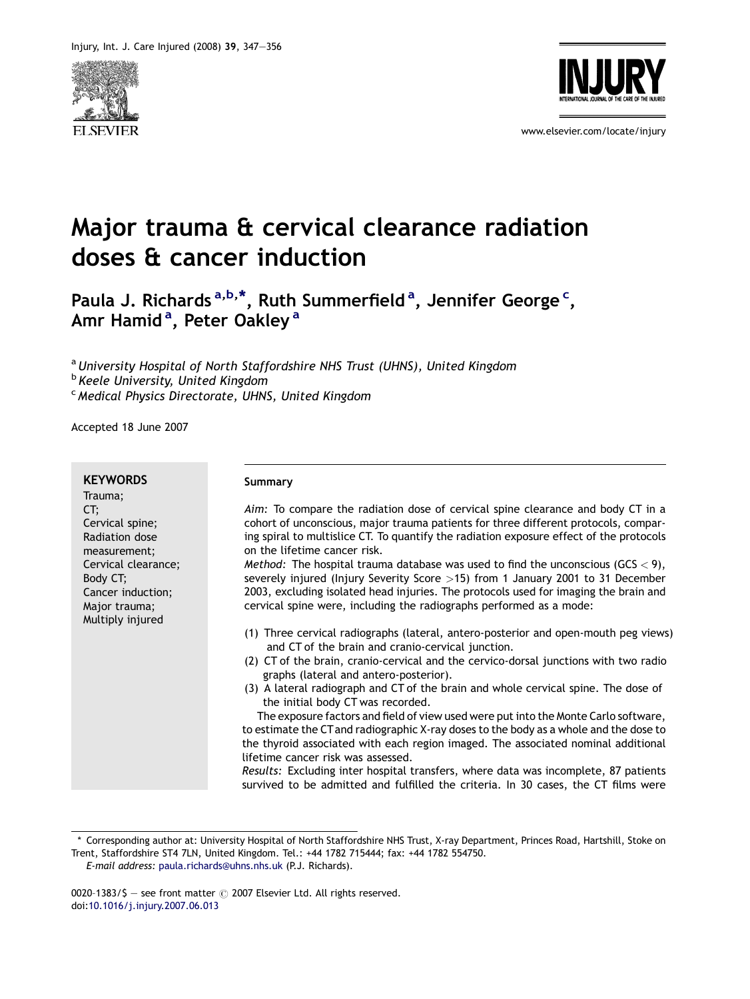



www.elsevier.com/locate/injury

# Major trauma & cervical clearance radiation doses & cancer induction

Paula J. Richards <sup>a,b,\*</sup>, Ruth Summerfield <sup>a</sup>, Jennifer George <sup>c</sup>, Amr Hamid<sup>a</sup>, Peter Oakley<sup>a</sup>

<sup>a</sup> University Hospital of North Staffordshire NHS Trust (UHNS), United Kingdom **b** Keele University, United Kingdom <sup>c</sup> Medical Physics Directorate, UHNS, United Kingdom

Accepted 18 June 2007

#### **KEYWORDS**

Trauma; CT; Cervical spine; Radiation dose measurement; Cervical clearance; Body CT; Cancer induction; Major trauma; Multiply injured

#### Summary

Aim: To compare the radiation dose of cervical spine clearance and body CT in a cohort of unconscious, major trauma patients for three different protocols, comparing spiral to multislice CT. To quantify the radiation exposure effect of the protocols on the lifetime cancer risk.

Method: The hospital trauma database was used to find the unconscious (GCS  $<$  9), severely injured (Injury Severity Score >15) from 1 January 2001 to 31 December 2003, excluding isolated head injuries. The protocols used for imaging the brain and cervical spine were, including the radiographs performed as a mode:

- (1) Three cervical radiographs (lateral, antero-posterior and open-mouth peg views) and CT of the brain and cranio-cervical junction.
- (2) CT of the brain, cranio-cervical and the cervico-dorsal junctions with two radio graphs (lateral and antero-posterior).
- (3) A lateral radiograph and CT of the brain and whole cervical spine. The dose of the initial body CT was recorded.

The exposure factors and field of view used were put into the Monte Carlo software, to estimate the CT and radiographic X-ray doses to the body as a whole and the dose to the thyroid associated with each region imaged. The associated nominal additional lifetime cancer risk was assessed.

Results: Excluding inter hospital transfers, where data was incomplete, 87 patients survived to be admitted and fulfilled the criteria. In 30 cases, the CT films were

<sup>\*</sup> Corresponding author at: University Hospital of North Staffordshire NHS Trust, X-ray Department, Princes Road, Hartshill, Stoke on Trent, Staffordshire ST4 7LN, United Kingdom. Tel.: +44 1782 715444; fax: +44 1782 554750.

E-mail address: [paula.richards@uhns.nhs.uk](mailto:paula.richards@uhns.nhs.uk) (P.J. Richards).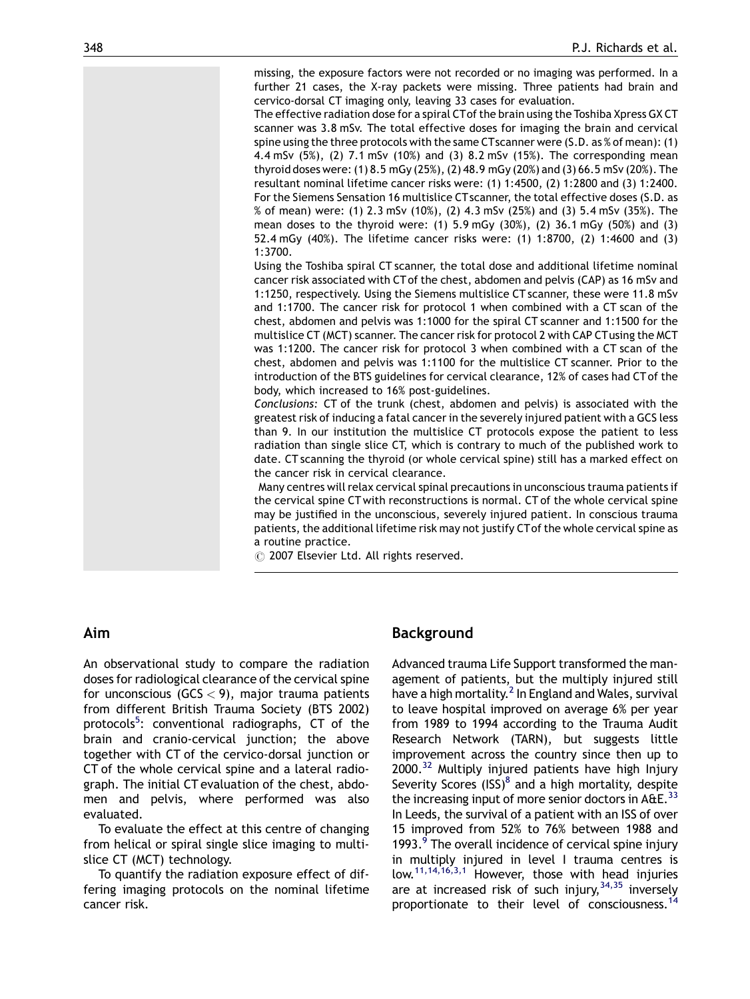missing, the exposure factors were not recorded or no imaging was performed. In a further 21 cases, the X-ray packets were missing. Three patients had brain and cervico-dorsal CT imaging only, leaving 33 cases for evaluation.

The effective radiation dose for a spiral CTof the brain using the Toshiba Xpress GX CT scanner was 3.8 mSv. The total effective doses for imaging the brain and cervical spine using the three protocols with the same CTscanner were (S.D. as % of mean): (1) 4.4 mSv (5%), (2) 7.1 mSv (10%) and (3) 8.2 mSv (15%). The corresponding mean thyroid doses were: (1) 8.5 mGy (25%), (2) 48.9 mGy (20%) and (3) 66.5 mSv (20%). The resultant nominal lifetime cancer risks were: (1) 1:4500, (2) 1:2800 and (3) 1:2400. For the Siemens Sensation 16 multislice CT scanner, the total effective doses (S.D. as % of mean) were: (1) 2.3 mSv (10%), (2) 4.3 mSv (25%) and (3) 5.4 mSv (35%). The mean doses to the thyroid were: (1) 5.9 mGy (30%), (2) 36.1 mGy (50%) and (3) 52.4 mGy (40%). The lifetime cancer risks were: (1) 1:8700, (2) 1:4600 and (3) 1:3700.

Using the Toshiba spiral CT scanner, the total dose and additional lifetime nominal cancer risk associated with CT of the chest, abdomen and pelvis (CAP) as 16 mSv and 1:1250, respectively. Using the Siemens multislice CT scanner, these were 11.8 mSv and 1:1700. The cancer risk for protocol 1 when combined with a CT scan of the chest, abdomen and pelvis was 1:1000 for the spiral CT scanner and 1:1500 for the multislice CT (MCT) scanner. The cancer risk for protocol 2 with CAP CTusing the MCT was 1:1200. The cancer risk for protocol 3 when combined with a CT scan of the chest, abdomen and pelvis was 1:1100 for the multislice CT scanner. Prior to the introduction of the BTS guidelines for cervical clearance, 12% of cases had CT of the body, which increased to 16% post-guidelines.

Conclusions: CT of the trunk (chest, abdomen and pelvis) is associated with the greatest risk of inducing a fatal cancer in the severely injured patient with a GCS less than 9. In our institution the multislice CT protocols expose the patient to less radiation than single slice CT, which is contrary to much of the published work to date. CT scanning the thyroid (or whole cervical spine) still has a marked effect on the cancer risk in cervical clearance.

Many centres will relax cervical spinal precautions in unconscious trauma patients if the cervical spine CT with reconstructions is normal. CT of the whole cervical spine may be justified in the unconscious, severely injured patient. In conscious trauma patients, the additional lifetime risk may not justify CTof the whole cervical spine as a routine practice.

 $\circled{c}$  2007 Elsevier Ltd. All rights reserved.

#### Aim

An observational study to compare the radiation doses for radiological clearance of the cervical spine for unconscious ( $GCS < 9$ ), major trauma patients from different British Trauma Society (BTS 2002) protocols<sup>[5](#page-8-0)</sup>: conventional radiographs, CT of the brain and cranio-cervical junction; the above together with CT of the cervico-dorsal junction or CT of the whole cervical spine and a lateral radiograph. The initial CT evaluation of the chest, abdomen and pelvis, where performed was also evaluated.

To evaluate the effect at this centre of changing from helical or spiral single slice imaging to multislice CT (MCT) technology.

To quantify the radiation exposure effect of differing imaging protocols on the nominal lifetime cancer risk.

#### Background

Advanced trauma Life Support transformed the management of patients, but the multiply injured still have a high mortality.<sup>[2](#page-8-0)</sup> In England and Wales, survival to leave hospital improved on average 6% per year from 1989 to 1994 according to the Trauma Audit Research Network (TARN), but suggests little improvement across the country since then up to 2000.<sup>[32](#page-9-0)</sup> Multiply injured patients have high Injury Severity Scores  $(ISS)^8$  and a high mortality, despite the increasing input of more senior doctors in  $A\&E.^{33}$  $A\&E.^{33}$  $A\&E.^{33}$ In Leeds, the survival of a patient with an ISS of over 15 improved from 52% to 76% between 1988 and 1[9](#page-8-0)93.<sup>9</sup> The overall incidence of cervical spine injury in multiply injured in level I trauma centres is low.<sup>11,14,16,3,1</sup> However, those with head injuries are at increased risk of such injury,  $34,35$  inversely proportionate to their level of consciousness.<sup>[14](#page-8-0)</sup>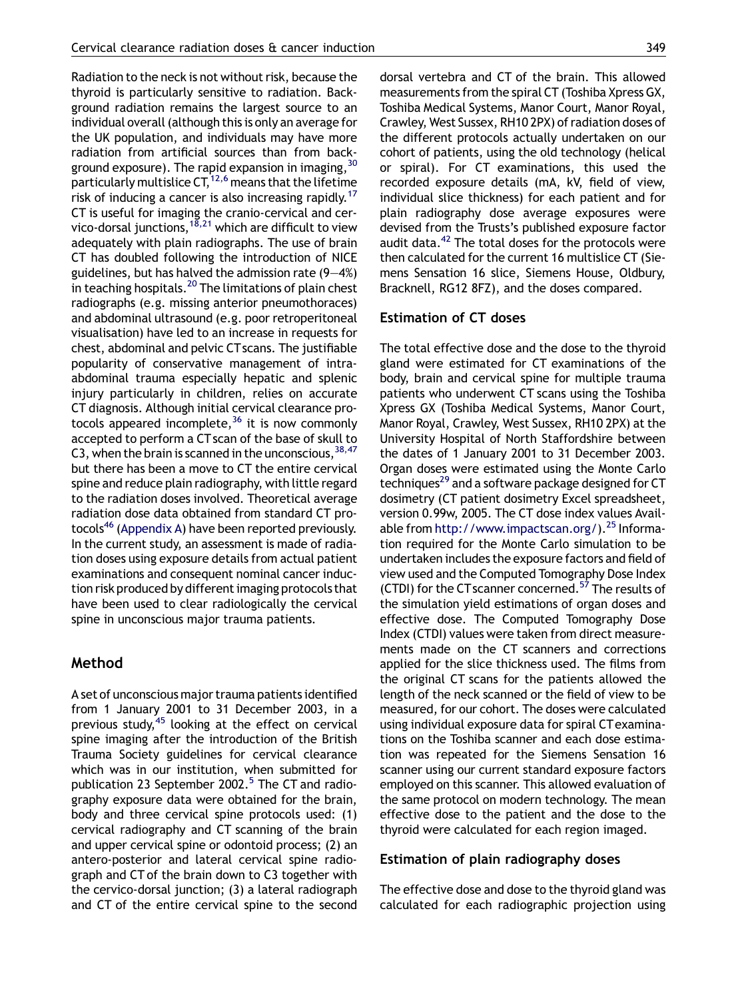Radiation to the neck is not without risk, because the thyroid is particularly sensitive to radiation. Background radiation remains the largest source to an individual overall (although this is only an average for the UK population, and individuals may have more radiation from artificial sources than from background exposure). The rapid expansion in imaging,  $30$ particularly multislice  $CT<sub>1</sub><sup>12,6</sup>$  means that the lifetime risk of inducing a cancer is also increasing rapidly.<sup>17</sup> CT is useful for imaging the cranio-cervical and cervico-dorsal junctions,<sup>18,21</sup> which are difficult to view adequately with plain radiographs. The use of brain CT has doubled following the introduction of NICE guidelines, but has halved the admission rate (9—4%) in teaching hospitals.<sup>[20](#page-9-0)</sup> The limitations of plain chest radiographs (e.g. missing anterior pneumothoraces) and abdominal ultrasound (e.g. poor retroperitoneal visualisation) have led to an increase in requests for chest, abdominal and pelvic CTscans. The justifiable popularity of conservative management of intraabdominal trauma especially hepatic and splenic injury particularly in children, relies on accurate CT diagnosis. Although initial cervical clearance protocols appeared incomplete,  $36$  it is now commonly accepted to perform a CT scan of the base of skull to C3, when the brain is scanned in the unconscious,  $38,47$ but there has been a move to CT the entire cervical spine and reduce plain radiography, with little regard to the radiation doses involved. Theoretical average radiation dose data obtained from standard CT pro-tocols<sup>[46](#page-9-0)</sup> [\(Appendix A](#page-7-0)) have been reported previously. In the current study, an assessment is made of radiation doses using exposure details from actual patient examinations and consequent nominal cancer induction risk produced by different imaging protocols that have been used to clear radiologically the cervical spine in unconscious major trauma patients.

#### Method

A set of unconscious major trauma patients identified from 1 January 2001 to 31 December 2003, in a previous study,  $45$  looking at the effect on cervical spine imaging after the introduction of the British Trauma Society guidelines for cervical clearance which was in our institution, when submitted for publication 23 September 2002.<sup>[5](#page-8-0)</sup> The CT and radiography exposure data were obtained for the brain, body and three cervical spine protocols used: (1) cervical radiography and CT scanning of the brain and upper cervical spine or odontoid process; (2) an antero-posterior and lateral cervical spine radiograph and CT of the brain down to C3 together with the cervico-dorsal junction; (3) a lateral radiograph and CT of the entire cervical spine to the second dorsal vertebra and CT of the brain. This allowed measurements from the spiral CT (Toshiba Xpress GX, Toshiba Medical Systems, Manor Court, Manor Royal, Crawley, West Sussex, RH10 2PX) of radiation doses of the different protocols actually undertaken on our cohort of patients, using the old technology (helical or spiral). For CT examinations, this used the recorded exposure details (mA, kV, field of view, individual slice thickness) for each patient and for plain radiography dose average exposures were devised from the Trusts's published exposure factor audit data.<sup>42</sup> The total doses for the protocols were then calculated for the current 16 multislice CT (Siemens Sensation 16 slice, Siemens House, Oldbury,

Bracknell, RG12 8FZ), and the doses compared.

#### Estimation of CT doses

The total effective dose and the dose to the thyroid gland were estimated for CT examinations of the body, brain and cervical spine for multiple trauma patients who underwent CT scans using the Toshiba Xpress GX (Toshiba Medical Systems, Manor Court, Manor Royal, Crawley, West Sussex, RH10 2PX) at the University Hospital of North Staffordshire between the dates of 1 January 2001 to 31 December 2003. Organ doses were estimated using the Monte Carlo techniques<sup>29</sup> and a software package designed for CT dosimetry (CT patient dosimetry Excel spreadsheet, version 0.99w, 2005. The CT dose index values Available from [http://www.impactscan.org/\)](http://www.impactscan.org/).<sup>[25](#page-9-0)</sup> Information required for the Monte Carlo simulation to be undertaken includes the exposure factors and field of view used and the Computed Tomography Dose Index (CTDI) for the CT scanner concerned.<sup>57</sup> The results of the simulation yield estimations of organ doses and effective dose. The Computed Tomography Dose Index (CTDI) values were taken from direct measurements made on the CT scanners and corrections applied for the slice thickness used. The films from the original CT scans for the patients allowed the length of the neck scanned or the field of view to be measured, for our cohort. The doses were calculated using individual exposure data for spiral CTexaminations on the Toshiba scanner and each dose estimation was repeated for the Siemens Sensation 16 scanner using our current standard exposure factors employed on this scanner. This allowed evaluation of the same protocol on modern technology. The mean effective dose to the patient and the dose to the thyroid were calculated for each region imaged.

#### Estimation of plain radiography doses

The effective dose and dose to the thyroid gland was calculated for each radiographic projection using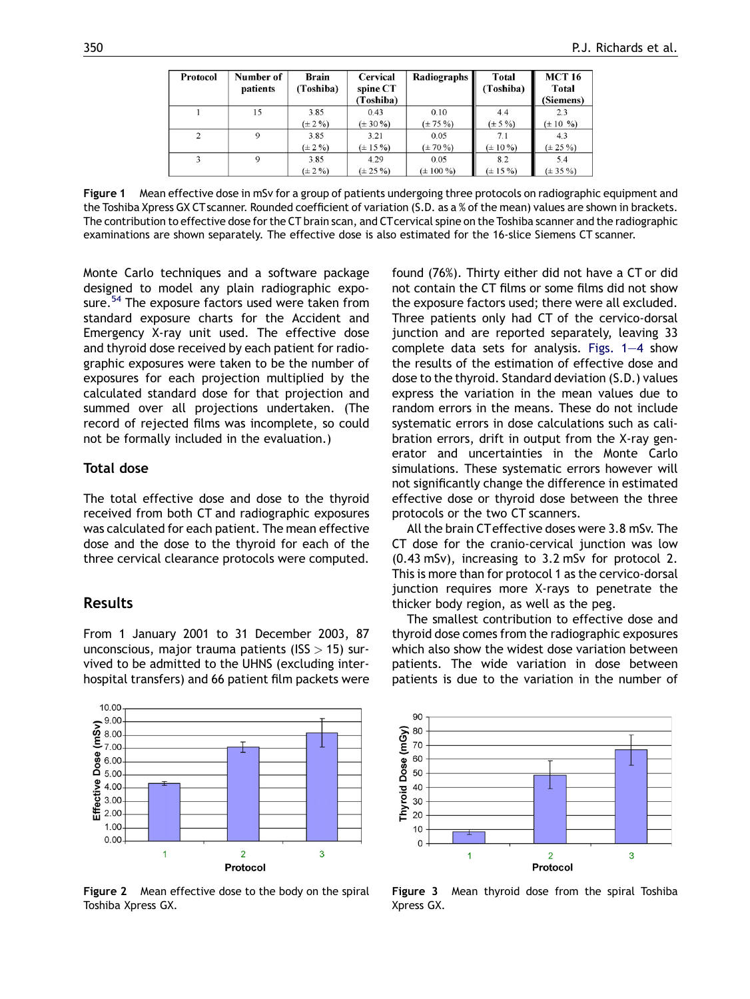<span id="page-3-0"></span>

| Protocol       | Number of<br>patients | <b>Brain</b><br>(Toshiba) | <b>Cervical</b><br>spine CT<br>(Toshiba) | <b>Radiographs</b> | Total<br>(Toshiba) | <b>MCT 16</b><br>Total<br>(Siemens) |
|----------------|-----------------------|---------------------------|------------------------------------------|--------------------|--------------------|-------------------------------------|
|                | 15                    | 3.85                      | 0.43                                     | 0.10               | 4.4                | 2.3                                 |
|                |                       | $(\pm 2\%)$               | $(\pm 30\% )$                            | $(\pm 75\%)$       | $(\pm 5\%)$        | $(\pm 10, 9)$                       |
| $\overline{c}$ |                       | 3.85                      | 3.21                                     | 0.05               | 7.1                | 4.3                                 |
|                |                       | $(\pm 2\%)$               | $(\pm 15\%)$                             | $(\pm 70\%)$       | $(\pm 10\%)$       | $(\pm 25\%)$                        |
| 3              | 9                     | 3.85                      | 4.29                                     | 0.05               | 8.2                | 5.4                                 |
|                |                       | $(\pm 2\%)$               | $(\pm 25\%)$                             | $(\pm 100\%)$      | $(\pm 15\%)$       | $(\pm 35\% )$                       |

Figure 1 Mean effective dose in mSv for a group of patients undergoing three protocols on radiographic equipment and the Toshiba Xpress GX CT scanner. Rounded coefficient of variation (S.D. as a % of the mean) values are shown in brackets. The contribution to effective dose for the CT brain scan, and CTcervical spine on the Toshiba scanner and the radiographic examinations are shown separately. The effective dose is also estimated for the 16-slice Siemens CT scanner.

Monte Carlo techniques and a software package designed to model any plain radiographic expo-sure.<sup>[54](#page-9-0)</sup> The exposure factors used were taken from standard exposure charts for the Accident and Emergency X-ray unit used. The effective dose and thyroid dose received by each patient for radiographic exposures were taken to be the number of exposures for each projection multiplied by the calculated standard dose for that projection and summed over all projections undertaken. (The record of rejected films was incomplete, so could not be formally included in the evaluation.)

## Total dose

The total effective dose and dose to the thyroid received from both CT and radiographic exposures was calculated for each patient. The mean effective dose and the dose to the thyroid for each of the three cervical clearance protocols were computed.

## Results

From 1 January 2001 to 31 December 2003, 87 unconscious, major trauma patients ( $ISS > 15$ ) survived to be admitted to the UHNS (excluding interhospital transfers) and 66 patient film packets were

 $10.00$  $\sum_{7.00}^{9.00}$ Ŧ  $\frac{6}{8}$  7.00-<br> **800**<br> **900-**<br> **900-**Effective 4.00 3.00  $2.00$  $1.00.$  $0.00 \overline{1}$  $\overline{2}$  $\overline{3}$ 

Figure 2 Mean effective dose to the body on the spiral Toshiba Xpress GX.

Protocol

found (76%). Thirty either did not have a CT or did not contain the CT films or some films did not show the exposure factors used; there were all excluded. Three patients only had CT of the cervico-dorsal junction and are reported separately, leaving 33 complete data sets for analysis. Figs. 1—4 show the results of the estimation of effective dose and dose to the thyroid. Standard deviation (S.D.) values express the variation in the mean values due to random errors in the means. These do not include systematic errors in dose calculations such as calibration errors, drift in output from the X-ray generator and uncertainties in the Monte Carlo simulations. These systematic errors however will not significantly change the difference in estimated effective dose or thyroid dose between the three protocols or the two CT scanners.

All the brain CTeffective doses were 3.8 mSv. The CT dose for the cranio-cervical junction was low (0.43 mSv), increasing to 3.2 mSv for protocol 2. This is more than for protocol 1 as the cervico-dorsal junction requires more X-rays to penetrate the thicker body region, as well as the peg.

The smallest contribution to effective dose and thyroid dose comes from the radiographic exposures which also show the widest dose variation between patients. The wide variation in dose between patients is due to the variation in the number of



Figure 3 Mean thyroid dose from the spiral Toshiba Xpress GX.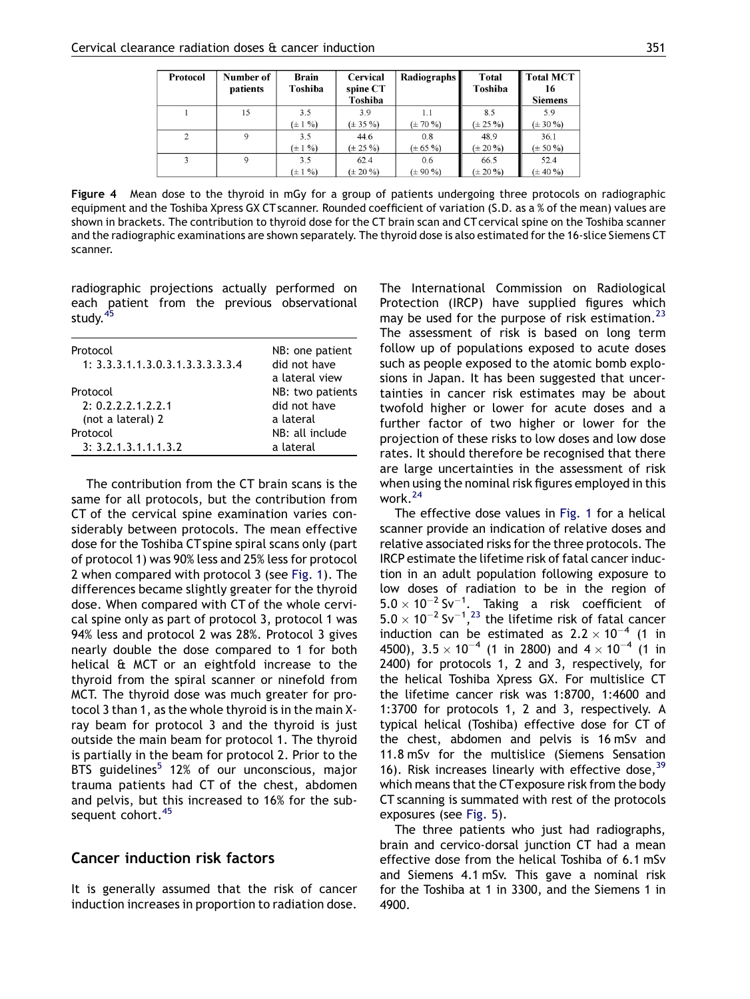| Protocol       | Number of<br>patients | <b>Brain</b><br>Toshiba | Cervical<br>spine CT<br>Toshiba | Radiographs   | Total<br>Toshiba | <b>Total MCT</b><br>16<br><b>Siemens</b> |
|----------------|-----------------------|-------------------------|---------------------------------|---------------|------------------|------------------------------------------|
|                | 15                    | 3.5                     | 3.9                             | 1.1           | 8.5              | 5.9                                      |
|                |                       | $(\pm 1\%)$             | $(\pm 35\% )$                   | $(\pm 70\%)$  | $(\pm 25\%)$     | $(\pm 30\% )$                            |
| $\overline{c}$ | 9                     | 3.5                     | 44.6                            | 0.8           | 48.9             | 36.1                                     |
|                |                       | $(\pm 1\% )$            | $(\pm 25\% )$                   | $(\pm 65 \%)$ | $(\pm 20\%)$     | $(\pm 50\% )$                            |
|                | 9                     | 3.5                     | 62.4                            | 0.6           | 66.5             | 52.4                                     |
|                |                       | $(\pm 1\% )$            | $(\pm 20\%)$                    | $(\pm 90\% )$ | $(\pm 20\%)$     | $(\pm 40\%)$                             |

Figure 4 Mean dose to the thyroid in mGy for a group of patients undergoing three protocols on radiographic equipment and the Toshiba Xpress GX CT scanner. Rounded coefficient of variation (S.D. as a % of the mean) values are shown in brackets. The contribution to thyroid dose for the CT brain scan and CT cervical spine on the Toshiba scanner and the radiographic examinations are shown separately. The thyroid dose is also estimated for the 16-slice Siemens CT scanner.

radiographic projections actually performed on each patient from the previous observational study.<sup>[45](#page-9-0)</sup>

| Protocol<br>1: 3.3.3.1.1.3.0.3.1.3.3.3.3.3.4 | NB: one patient<br>did not have<br>a lateral view |
|----------------------------------------------|---------------------------------------------------|
| Protocol                                     | NB: two patients                                  |
| 2: 0.2.2.2.1.2.2.1                           | did not have                                      |
| (not a lateral) 2                            | a lateral                                         |
| Protocol                                     | NB: all include                                   |
| 3: 3.2.1.3.1.1.1.3.2                         | a lateral                                         |
|                                              |                                                   |

The contribution from the CT brain scans is the same for all protocols, but the contribution from CT of the cervical spine examination varies considerably between protocols. The mean effective dose for the Toshiba CT spine spiral scans only (part of protocol 1) was 90% less and 25% less for protocol 2 when compared with protocol 3 (see [Fig. 1\)](#page-3-0). The differences became slightly greater for the thyroid dose. When compared with CT of the whole cervical spine only as part of protocol 3, protocol 1 was 94% less and protocol 2 was 28%. Protocol 3 gives nearly double the dose compared to 1 for both helical & MCT or an eightfold increase to the thyroid from the spiral scanner or ninefold from MCT. The thyroid dose was much greater for protocol 3 than 1, as the whole thyroid is in the main Xray beam for protocol 3 and the thyroid is just outside the main beam for protocol 1. The thyroid is partially in the beam for protocol 2. Prior to the BTS guidelines<sup>[5](#page-8-0)</sup> 12% of our unconscious, major trauma patients had CT of the chest, abdomen and pelvis, but this increased to 16% for the sub-sequent cohort.<sup>[45](#page-9-0)</sup>

# Cancer induction risk factors

It is generally assumed that the risk of cancer induction increases in proportion to radiation dose.

The International Commission on Radiological Protection (IRCP) have supplied figures which may be used for the purpose of risk estimation.<sup>[23](#page-9-0)</sup> The assessment of risk is based on long term follow up of populations exposed to acute doses such as people exposed to the atomic bomb explosions in Japan. It has been suggested that uncertainties in cancer risk estimates may be about twofold higher or lower for acute doses and a further factor of two higher or lower for the projection of these risks to low doses and low dose rates. It should therefore be recognised that there are large uncertainties in the assessment of risk when using the nominal risk figures employed in this work.[24](#page-9-0)

The effective dose values in [Fig. 1](#page-3-0) for a helical scanner provide an indication of relative doses and relative associated risks for the three protocols. The IRCP estimate the lifetime risk of fatal cancer induction in an adult population following exposure to low doses of radiation to be in the region of  $5.0 \times 10^{-2}$  Sv<sup>-1</sup>. Taking a risk coefficient of  $5.0 \times 10^{-2}$  Sv<sup>-1</sup>,<sup>[23](#page-9-0)</sup> the lifetime risk of fatal cancer induction can be estimated as  $2.2 \times 10^{-4}$  (1 in 4500),  $3.5\times10^{-4}$  (1 in 2800) and 4  $\times$  10<sup>-4</sup> (1 in 2400) for protocols 1, 2 and 3, respectively, for the helical Toshiba Xpress GX. For multislice CT the lifetime cancer risk was 1:8700, 1:4600 and 1:3700 for protocols 1, 2 and 3, respectively. A typical helical (Toshiba) effective dose for CT of the chest, abdomen and pelvis is 16 mSv and 11.8 mSv for the multislice (Siemens Sensation 16). Risk increases linearly with effective dose,  $39$ which means that the CTexposure risk from the body CT scanning is summated with rest of the protocols exposures (see [Fig. 5\)](#page-5-0).

The three patients who just had radiographs, brain and cervico-dorsal junction CT had a mean effective dose from the helical Toshiba of 6.1 mSv and Siemens 4.1 mSv. This gave a nominal risk for the Toshiba at 1 in 3300, and the Siemens 1 in 4900.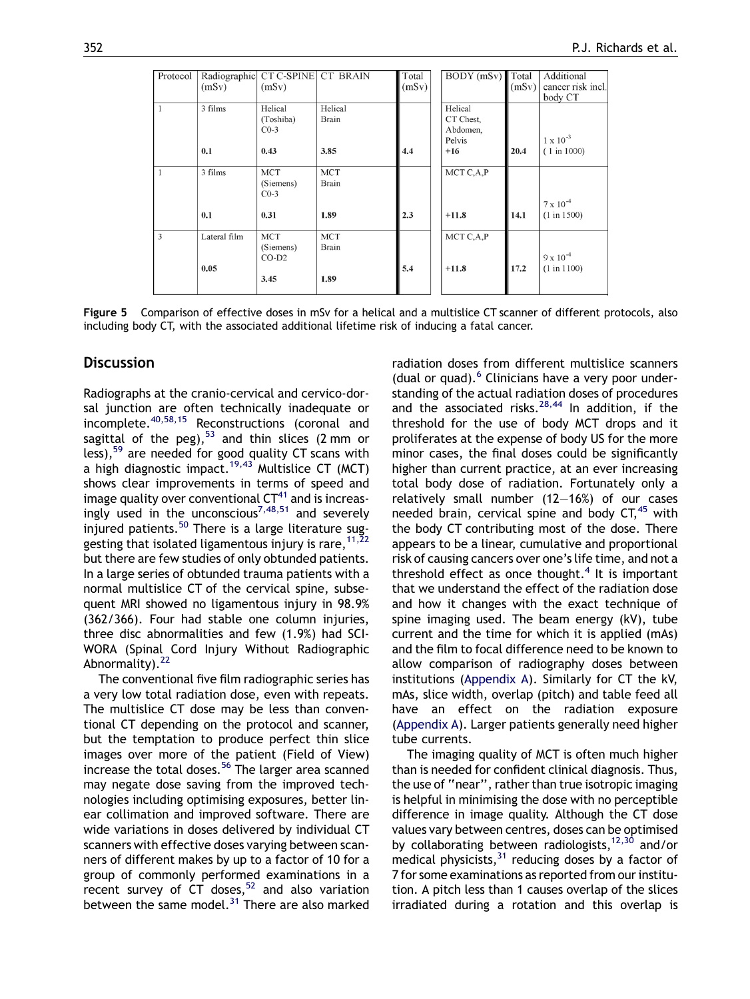<span id="page-5-0"></span>

| Protocol | (mSv)                | Radiographic CT C-SPINE CT BRAIN<br>(mSv)  |                                    | Total<br>(mSv) | $BODY$ (mSv) Total                                  | (mSv) | Additional<br>cancer risk incl.<br>body CT |
|----------|----------------------|--------------------------------------------|------------------------------------|----------------|-----------------------------------------------------|-------|--------------------------------------------|
|          | 3 films<br>0.1       | Helical<br>(Toshiba)<br>$CO-3$<br>0.43     | Helical<br><b>Brain</b><br>3.85    | 4.4            | Helical<br>CT Chest,<br>Abdomen,<br>Pelvis<br>$+16$ | 20.4  | $1 \times 10^{-3}$<br>(1 in 1000)          |
|          | 3 films<br>0.1       | <b>MCT</b><br>(Siemens)<br>$CO-3$<br>0.31  | <b>MCT</b><br><b>Brain</b><br>1.89 | 2.3            | MCT C,A,P<br>$+11.8$                                | 14.1  | $7 \times 10^{-4}$<br>(1 in 1500)          |
| 3        | Lateral film<br>0.05 | <b>MCT</b><br>(Siemens)<br>$CO-D2$<br>3.45 | <b>MCT</b><br><b>Brain</b><br>1.89 | 5.4            | MCT C,A,P<br>$+11.8$                                | 17.2  | $9 \times 10^{-4}$<br>(1 in 1100)          |

Figure 5 Comparison of effective doses in mSv for a helical and a multislice CT scanner of different protocols, also including body CT, with the associated additional lifetime risk of inducing a fatal cancer.

#### **Discussion**

Radiographs at the cranio-cervical and cervico-dorsal junction are often technically inadequate or incomplete.[40,58,15](#page-9-0) Reconstructions (coronal and sagittal of the peg), $53$  and thin slices (2 mm or less),[59](#page-9-0) are needed for good quality CT scans with a high diagnostic impact.<sup>19,43</sup> Multislice CT (MCT) shows clear improvements in terms of speed and image quality over conventional  $CT^{41}$  $CT^{41}$  $CT^{41}$  and is increas-ingly used in the unconscious<sup>[7,48,51](#page-8-0)</sup> and severely injured patients.<sup>[50](#page-9-0)</sup> There is a large literature suggesting that isolated ligamentous injury is rare,  $11,22$ but there are few studies of only obtunded patients. In a large series of obtunded trauma patients with a normal multislice CT of the cervical spine, subsequent MRI showed no ligamentous injury in 98.9% (362/366). Four had stable one column injuries, three disc abnormalities and few (1.9%) had SCI-WORA (Spinal Cord Injury Without Radiographic Abnormality).<sup>[22](#page-9-0)</sup>

The conventional five film radiographic series has a very low total radiation dose, even with repeats. The multislice CT dose may be less than conventional CT depending on the protocol and scanner, but the temptation to produce perfect thin slice images over more of the patient (Field of View) increase the total doses.<sup>[56](#page-9-0)</sup> The larger area scanned may negate dose saving from the improved technologies including optimising exposures, better linear collimation and improved software. There are wide variations in doses delivered by individual CT scanners with effective doses varying between scanners of different makes by up to a factor of 10 for a group of commonly performed examinations in a recent survey of CT doses,  $52$  and also variation between the same model. $31$  There are also marked radiation doses from different multislice scanners (dual or quad). $6$  Clinicians have a very poor understanding of the actual radiation doses of procedures and the associated risks. $28,44$  In addition, if the threshold for the use of body MCT drops and it proliferates at the expense of body US for the more minor cases, the final doses could be significantly higher than current practice, at an ever increasing total body dose of radiation. Fortunately only a relatively small number (12—16%) of our cases needed brain, cervical spine and body  $CT<sub>1</sub><sup>45</sup>$  $CT<sub>1</sub><sup>45</sup>$  $CT<sub>1</sub><sup>45</sup>$  with the body CT contributing most of the dose. There appears to be a linear, cumulative and proportional risk of causing cancers over one's life time, and not a threshold effect as once thought.<sup>[4](#page-8-0)</sup> It is important that we understand the effect of the radiation dose and how it changes with the exact technique of spine imaging used. The beam energy (kV), tube current and the time for which it is applied (mAs) and the film to focal difference need to be known to allow comparison of radiography doses between institutions ([Appendix A\)](#page-7-0). Similarly for CT the kV, mAs, slice width, overlap (pitch) and table feed all have an effect on the radiation exposure [\(Appendix A](#page-7-0)). Larger patients generally need higher tube currents.

The imaging quality of MCT is often much higher than is needed for confident clinical diagnosis. Thus, the use of ''near'', rather than true isotropic imaging is helpful in minimising the dose with no perceptible difference in image quality. Although the CT dose values vary between centres, doses can be optimised by collaborating between radiologists,  $12,30$  and/or medical physicists,  $31$  reducing doses by a factor of 7 for some examinations as reported from our institution. A pitch less than 1 causes overlap of the slices irradiated during a rotation and this overlap is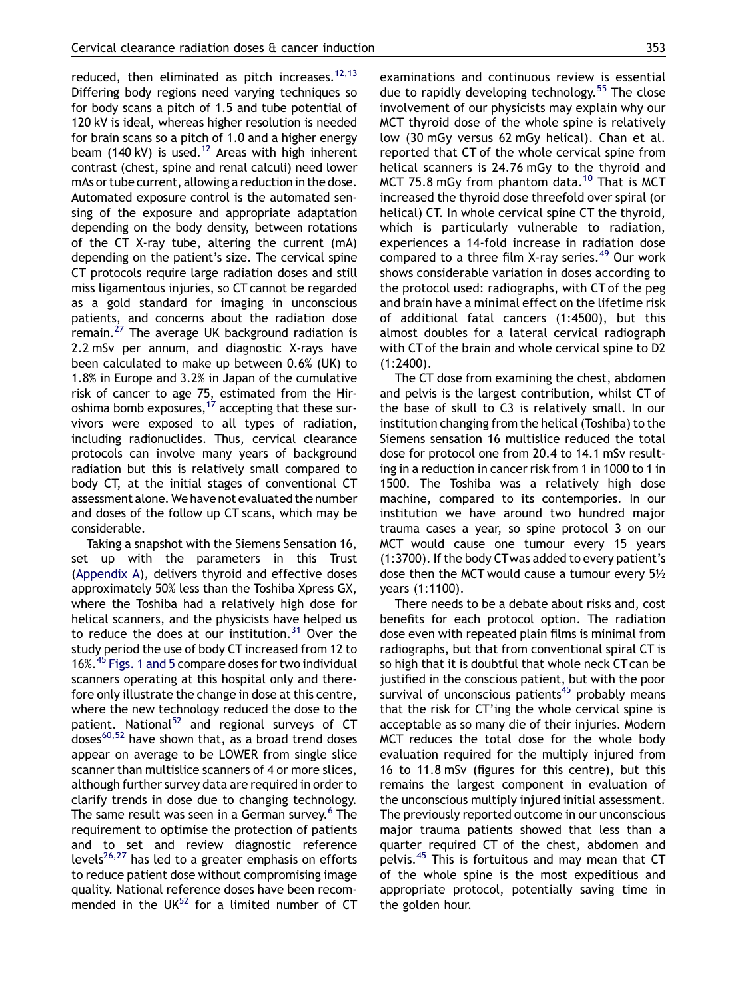reduced, then eliminated as pitch increases. $^{12,13}$  $^{12,13}$  $^{12,13}$ Differing body regions need varying techniques so for body scans a pitch of 1.5 and tube potential of 120 kV is ideal, whereas higher resolution is needed for brain scans so a pitch of 1.0 and a higher energy beam (140 kV) is used.<sup>[12](#page-8-0)</sup> Areas with high inherent contrast (chest, spine and renal calculi) need lower mAs or tube current, allowing a reduction in the dose. Automated exposure control is the automated sensing of the exposure and appropriate adaptation depending on the body density, between rotations of the CT X-ray tube, altering the current (mA) depending on the patient's size. The cervical spine CT protocols require large radiation doses and still miss ligamentous injuries, so CT cannot be regarded as a gold standard for imaging in unconscious patients, and concerns about the radiation dose remain. $27$  The average UK background radiation is 2.2 mSv per annum, and diagnostic X-rays have been calculated to make up between 0.6% (UK) to 1.8% in Europe and 3.2% in Japan of the cumulative risk of cancer to age 75, estimated from the Hiroshima bomb exposures,  $17$  accepting that these survivors were exposed to all types of radiation, including radionuclides. Thus, cervical clearance protocols can involve many years of background radiation but this is relatively small compared to body CT, at the initial stages of conventional CT assessment alone. We have not evaluated the number and doses of the follow up CT scans, which may be considerable.

Taking a snapshot with the Siemens Sensation 16, set up with the parameters in this Trust [\(Appendix A\)](#page-7-0), delivers thyroid and effective doses approximately 50% less than the Toshiba Xpress GX, where the Toshiba had a relatively high dose for helical scanners, and the physicists have helped us to reduce the does at our institution.<sup>[31](#page-9-0)</sup> Over the study period the use of body CT increased from 12 to 16%.<sup>[45](#page-9-0)</sup> [Figs. 1 and 5](#page-3-0) compare doses for two individual scanners operating at this hospital only and therefore only illustrate the change in dose at this centre, where the new technology reduced the dose to the patient. National<sup>[52](#page-9-0)</sup> and regional surveys of CT  $d$ oses<sup>[60,52](#page-9-0)</sup> have shown that, as a broad trend doses appear on average to be LOWER from single slice scanner than multislice scanners of 4 or more slices, although further survey data are required in order to clarify trends in dose due to changing technology. The same result was seen in a German survey.<sup>[6](#page-8-0)</sup> The requirement to optimise the protection of patients and to set and review diagnostic reference levels<sup>26,27</sup> has led to a greater emphasis on efforts to reduce patient dose without compromising image quality. National reference doses have been recommended in the  $UK^{52}$  $UK^{52}$  $UK^{52}$  for a limited number of CT examinations and continuous review is essential due to rapidly developing technology.<sup>[55](#page-9-0)</sup> The close involvement of our physicists may explain why our MCT thyroid dose of the whole spine is relatively low (30 mGy versus 62 mGy helical). Chan et al. reported that CT of the whole cervical spine from helical scanners is 24.76 mGy to the thyroid and MCT 75.8 mGy from phantom data.<sup>[10](#page-8-0)</sup> That is MCT increased the thyroid dose threefold over spiral (or helical) CT. In whole cervical spine CT the thyroid, which is particularly vulnerable to radiation, experiences a 14-fold increase in radiation dose compared to a three film X-ray series.<sup>[49](#page-9-0)</sup> Our work shows considerable variation in doses according to the protocol used: radiographs, with CT of the peg and brain have a minimal effect on the lifetime risk of additional fatal cancers (1:4500), but this almost doubles for a lateral cervical radiograph with CT of the brain and whole cervical spine to D2 (1:2400).

The CT dose from examining the chest, abdomen and pelvis is the largest contribution, whilst CT of the base of skull to C3 is relatively small. In our institution changing from the helical (Toshiba) to the Siemens sensation 16 multislice reduced the total dose for protocol one from 20.4 to 14.1 mSv resulting in a reduction in cancer risk from 1 in 1000 to 1 in 1500. The Toshiba was a relatively high dose machine, compared to its contempories. In our institution we have around two hundred major trauma cases a year, so spine protocol 3 on our MCT would cause one tumour every 15 years (1:3700). If the body CTwas added to every patient's dose then the MCT would cause a tumour every 5½ years (1:1100).

There needs to be a debate about risks and, cost benefits for each protocol option. The radiation dose even with repeated plain films is minimal from radiographs, but that from conventional spiral CT is so high that it is doubtful that whole neck CT can be justified in the conscious patient, but with the poor survival of unconscious patients $45$  probably means that the risk for CT'ing the whole cervical spine is acceptable as so many die of their injuries. Modern MCT reduces the total dose for the whole body evaluation required for the multiply injured from 16 to 11.8 mSv (figures for this centre), but this remains the largest component in evaluation of the unconscious multiply injured initial assessment. The previously reported outcome in our unconscious major trauma patients showed that less than a quarter required CT of the chest, abdomen and pelvis.[45](#page-9-0) This is fortuitous and may mean that CT of the whole spine is the most expeditious and appropriate protocol, potentially saving time in the golden hour.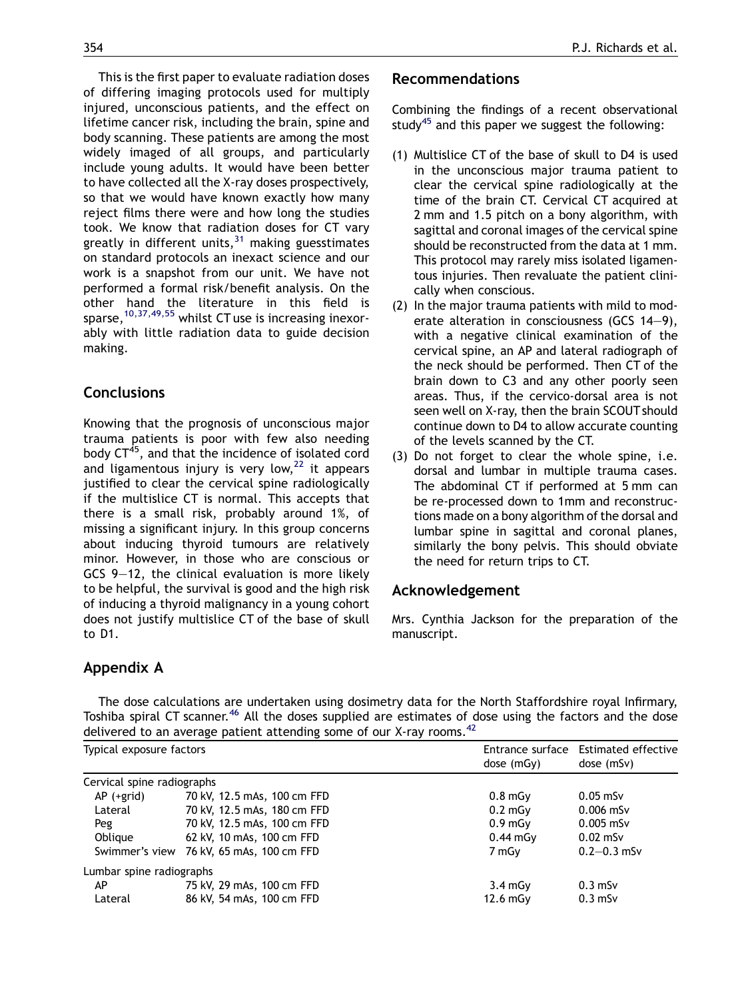<span id="page-7-0"></span>This is the first paper to evaluate radiation doses of differing imaging protocols used for multiply injured, unconscious patients, and the effect on lifetime cancer risk, including the brain, spine and body scanning. These patients are among the most widely imaged of all groups, and particularly include young adults. It would have been better to have collected all the X-ray doses prospectively, so that we would have known exactly how many reject films there were and how long the studies took. We know that radiation doses for CT vary greatly in different units,  $31$  making guesstimates on standard protocols an inexact science and our work is a snapshot from our unit. We have not performed a formal risk/benefit analysis. On the other hand the literature in this field is sparse,  $10,37,49,55$  whilst CT use is increasing inexorably with little radiation data to guide decision

## **Conclusions**

making.

Knowing that the prognosis of unconscious major trauma patients is poor with few also needing body CT<sup>45</sup>, and that the incidence of isolated cord and ligamentous injury is very low, $22$  it appears justified to clear the cervical spine radiologically if the multislice CT is normal. This accepts that there is a small risk, probably around 1%, of missing a significant injury. In this group concerns about inducing thyroid tumours are relatively minor. However, in those who are conscious or GCS 9—12, the clinical evaluation is more likely to be helpful, the survival is good and the high risk of inducing a thyroid malignancy in a young cohort does not justify multislice CT of the base of skull to D1.

## Appendix A

#### Recommendations

Combining the findings of a recent observational study<sup>[45](#page-9-0)</sup> and this paper we suggest the following:

- (1) Multislice CT of the base of skull to D4 is used in the unconscious major trauma patient to clear the cervical spine radiologically at the time of the brain CT. Cervical CT acquired at 2 mm and 1.5 pitch on a bony algorithm, with sagittal and coronal images of the cervical spine should be reconstructed from the data at 1 mm. This protocol may rarely miss isolated ligamentous injuries. Then revaluate the patient clinically when conscious.
- (2) In the major trauma patients with mild to moderate alteration in consciousness (GCS 14—9), with a negative clinical examination of the cervical spine, an AP and lateral radiograph of the neck should be performed. Then CT of the brain down to C3 and any other poorly seen areas. Thus, if the cervico-dorsal area is not seen well on X-ray, then the brain SCOUT should continue down to D4 to allow accurate counting of the levels scanned by the CT.
- (3) Do not forget to clear the whole spine, i.e. dorsal and lumbar in multiple trauma cases. The abdominal CT if performed at 5 mm can be re-processed down to 1mm and reconstructions made on a bony algorithm of the dorsal and lumbar spine in sagittal and coronal planes, similarly the bony pelvis. This should obviate the need for return trips to CT.

#### Acknowledgement

Mrs. Cynthia Jackson for the preparation of the manuscript.

The dose calculations are undertaken using dosimetry data for the North Staffordshire royal Infirmary, Toshiba spiral CT scanner.<sup>[46](#page-9-0)</sup> All the doses supplied are estimates of dose using the factors and the dose delivered to an average patient attending some of our X-ray rooms.  $42$ 

| Typical exposure factors   |                                          | dose(mGv)         | Entrance surface Estimated effective<br>dose (mSv) |  |
|----------------------------|------------------------------------------|-------------------|----------------------------------------------------|--|
| Cervical spine radiographs |                                          |                   |                                                    |  |
| AP (+grid)                 | 70 kV, 12.5 mAs, 100 cm FFD              | 0.8 <sub>m</sub>  | $0.05$ mSv                                         |  |
| Lateral                    | 70 kV, 12.5 mAs, 180 cm FFD              | $0.2 \text{ mGv}$ | $0.006$ mSv                                        |  |
| Peg                        | 70 kV, 12.5 mAs, 100 cm FFD              | 0.9 <sub>m</sub>  | $0.005$ mSv                                        |  |
| Oblique                    | 62 kV, 10 mAs, 100 cm FFD                | $0.44$ mGy        | $0.02$ mSv                                         |  |
|                            | Swimmer's view 76 kV, 65 mAs, 100 cm FFD | 7 mGy             | $0.2 - 0.3$ mSv                                    |  |
| Lumbar spine radiographs   |                                          |                   |                                                    |  |
| AP                         | 75 kV, 29 mAs, 100 cm FFD                | $3.4 \text{ mGv}$ | $0.3$ mS $v$                                       |  |
| Lateral                    | 86 kV, 54 mAs, 100 cm FFD                | $12.6$ mGy        | $0.3$ mS $v$                                       |  |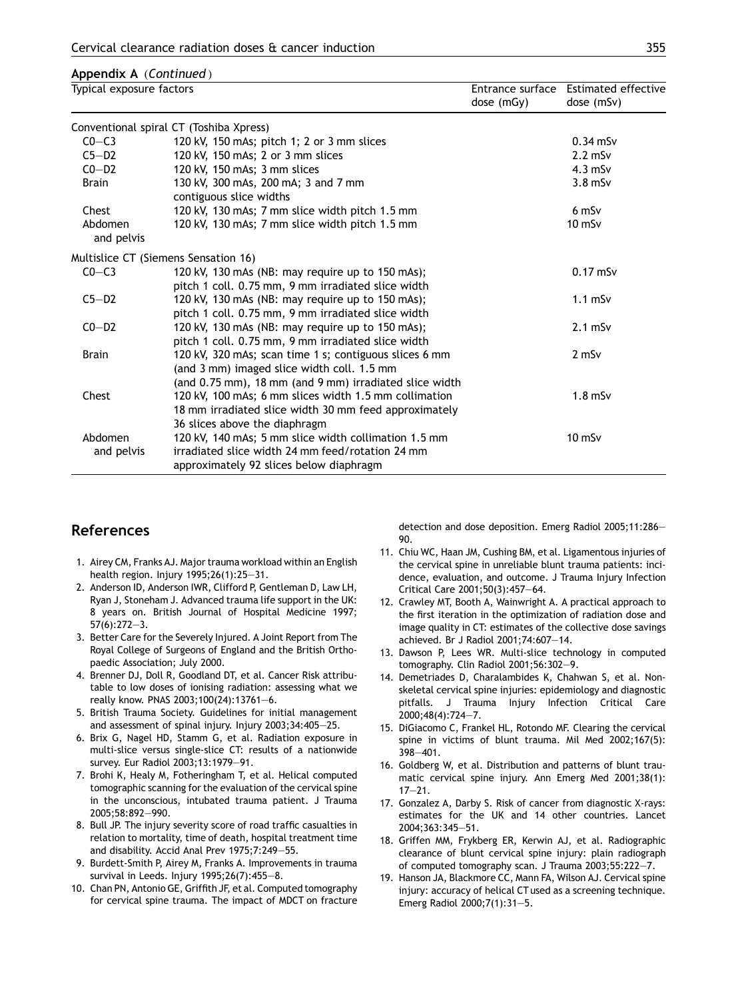#### <span id="page-8-0"></span>Appendix A (Continued )

| Typical exposure factors                |                                                                                                        | dose (mGy) | Entrance surface Estimated effective<br>dose (mSv) |  |  |  |
|-----------------------------------------|--------------------------------------------------------------------------------------------------------|------------|----------------------------------------------------|--|--|--|
| Conventional spiral CT (Toshiba Xpress) |                                                                                                        |            |                                                    |  |  |  |
| $CO-C3$                                 | 120 kV, 150 mAs; pitch 1; 2 or 3 mm slices                                                             |            | $0.34$ mSv                                         |  |  |  |
| $C5-D2$                                 | 120 kV, 150 mAs; 2 or 3 mm slices                                                                      |            | $2.2$ mSv                                          |  |  |  |
| $CO-D2$                                 | 120 kV, 150 mAs; 3 mm slices                                                                           |            | $4.3$ mSv                                          |  |  |  |
| Brain                                   | 130 kV, 300 mAs, 200 mA; 3 and 7 mm                                                                    |            | $3.8$ mS $v$                                       |  |  |  |
|                                         | contiguous slice widths                                                                                |            |                                                    |  |  |  |
| Chest                                   | 120 kV, 130 mAs; 7 mm slice width pitch 1.5 mm                                                         |            | $6$ mS $v$                                         |  |  |  |
| Abdomen<br>and pelvis                   | 120 kV, 130 mAs; 7 mm slice width pitch 1.5 mm                                                         |            | $10$ mS $v$                                        |  |  |  |
|                                         | Multislice CT (Siemens Sensation 16)                                                                   |            |                                                    |  |  |  |
| $CO-C3$                                 | 120 kV, 130 mAs (NB: may require up to 150 mAs);<br>pitch 1 coll. 0.75 mm, 9 mm irradiated slice width |            | $0.17$ mSv                                         |  |  |  |
| $C5-D2$                                 | 120 kV, 130 mAs (NB: may require up to 150 mAs);<br>pitch 1 coll. 0.75 mm, 9 mm irradiated slice width |            | $1.1$ mS $v$                                       |  |  |  |
| $CO-D2$                                 | 120 kV, 130 mAs (NB: may require up to 150 mAs);<br>pitch 1 coll. 0.75 mm, 9 mm irradiated slice width |            | $2.1$ mSv                                          |  |  |  |
| <b>Brain</b>                            | 120 kV, 320 mAs; scan time 1 s; contiguous slices 6 mm<br>(and 3 mm) imaged slice width coll. 1.5 mm   |            | $2$ mS $v$                                         |  |  |  |
|                                         | (and 0.75 mm), 18 mm (and 9 mm) irradiated slice width                                                 |            |                                                    |  |  |  |
| Chest                                   | 120 kV, 100 mAs; 6 mm slices width 1.5 mm collimation                                                  |            | $1.8$ mSv                                          |  |  |  |
|                                         | 18 mm irradiated slice width 30 mm feed approximately                                                  |            |                                                    |  |  |  |
|                                         | 36 slices above the diaphragm                                                                          |            |                                                    |  |  |  |
| Abdomen                                 | 120 kV, 140 mAs; 5 mm slice width collimation 1.5 mm                                                   |            | $10$ mS $v$                                        |  |  |  |
| and pelvis                              | irradiated slice width 24 mm feed/rotation 24 mm<br>approximately 92 slices below diaphragm            |            |                                                    |  |  |  |

## References

- 1. Airey CM, Franks AJ. Major trauma workload within an English health region. Injury 1995;26(1):25—31.
- 2. Anderson ID, Anderson IWR, Clifford P, Gentleman D, Law LH, Ryan J, Stoneham J. Advanced trauma life support in the UK: 8 years on. British Journal of Hospital Medicine 1997; 57(6):272—3.
- 3. Better Care for the Severely Injured. A Joint Report from The Royal College of Surgeons of England and the British Orthopaedic Association; July 2000.
- 4. Brenner DJ, Doll R, Goodland DT, et al. Cancer Risk attributable to low doses of ionising radiation: assessing what we really know. PNAS 2003;100(24):13761—6.
- 5. British Trauma Society. Guidelines for initial management and assessment of spinal injury. Injury 2003;34:405—25.
- 6. Brix G, Nagel HD, Stamm G, et al. Radiation exposure in multi-slice versus single-slice CT: results of a nationwide survey. Eur Radiol 2003;13:1979—91.
- 7. Brohi K, Healy M, Fotheringham T, et al. Helical computed tomographic scanning for the evaluation of the cervical spine in the unconscious, intubated trauma patient. J Trauma 2005;58:892—990.
- 8. Bull JP. The injury severity score of road traffic casualties in relation to mortality, time of death, hospital treatment time and disability. Accid Anal Prev 1975;7:249—55.
- 9. Burdett-Smith P, Airey M, Franks A. Improvements in trauma survival in Leeds. Injury 1995;26(7):455—8.
- 10. Chan PN, Antonio GE, Griffith JF, et al. Computed tomography for cervical spine trauma. The impact of MDCT on fracture

detection and dose deposition. Emerg Radiol 2005;11:286— 90.

- 11. Chiu WC, Haan JM, Cushing BM, et al. Ligamentous injuries of the cervical spine in unreliable blunt trauma patients: incidence, evaluation, and outcome. J Trauma Injury Infection Critical Care 2001;50(3):457—64.
- 12. Crawley MT, Booth A, Wainwright A. A practical approach to the first iteration in the optimization of radiation dose and image quality in CT: estimates of the collective dose savings achieved. Br J Radiol 2001;74:607—14.
- 13. Dawson P, Lees WR. Multi-slice technology in computed tomography. Clin Radiol 2001;56:302—9.
- 14. Demetriades D, Charalambides K, Chahwan S, et al. Nonskeletal cervical spine injuries: epidemiology and diagnostic pitfalls. J Trauma Injury Infection Critical Care 2000;48(4):724—7.
- 15. DiGiacomo C, Frankel HL, Rotondo MF. Clearing the cervical spine in victims of blunt trauma. Mil Med 2002;167(5): 398—401.
- 16. Goldberg W, et al. Distribution and patterns of blunt traumatic cervical spine injury. Ann Emerg Med 2001;38(1):  $17 - 21$ .
- 17. Gonzalez A, Darby S. Risk of cancer from diagnostic X-rays: estimates for the UK and 14 other countries. Lancet 2004;363:345—51.
- 18. Griffen MM, Frykberg ER, Kerwin AJ, et al. Radiographic clearance of blunt cervical spine injury: plain radiograph of computed tomography scan. J Trauma 2003;55:222—7.
- 19. Hanson JA, Blackmore CC, Mann FA, Wilson AJ. Cervical spine injury: accuracy of helical CT used as a screening technique. Emerg Radiol 2000;7(1):31—5.